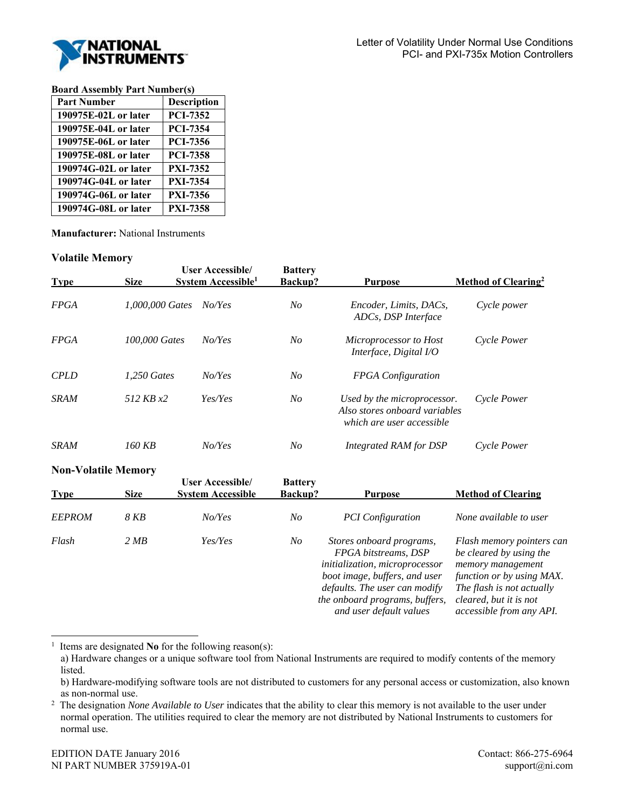

## **Board Assembly Part Number(s)**

| <b>Part Number</b>   | <b>Description</b> |
|----------------------|--------------------|
| 190975E-02L or later | <b>PCI-7352</b>    |
| 190975E-04L or later | <b>PCI-7354</b>    |
| 190975E-06L or later | <b>PCI-7356</b>    |
| 190975E-08L or later | <b>PCI-7358</b>    |
| 190974G-02L or later | <b>PXI-7352</b>    |
| 190974G-04L or later | <b>PXI-7354</b>    |
| 190974G-06L or later | <b>PXI-7356</b>    |
| 190974G-08L or later | <b>PXI-7358</b>    |

**Manufacturer:** National Instruments

## **Volatile Memory**

| <b>Type</b> | <b>Size</b>                | <b>User Accessible/</b><br>System Accessible <sup>1</sup> | <b>Battery</b><br>Backup? | <b>Purpose</b>                                                                            | Method of Clearing <sup>2</sup> |
|-------------|----------------------------|-----------------------------------------------------------|---------------------------|-------------------------------------------------------------------------------------------|---------------------------------|
| <b>FPGA</b> | 1,000,000 Gates            | No/Yes                                                    | No                        | Encoder, Limits, DACs,<br>ADCs, DSP Interface                                             | Cycle power                     |
| <b>FPGA</b> | 100,000 Gates              | No/Yes                                                    | $N_{O}$                   | Microprocessor to Host<br>Interface, Digital I/O                                          | Cycle Power                     |
| <b>CPLD</b> | 1.250 Gates                | No/Yes                                                    | N <sub>O</sub>            | <b>FPGA</b> Configuration                                                                 |                                 |
| <b>SRAM</b> | 512 KB x2                  | Yes/Yes                                                   | N <sub>O</sub>            | Used by the microprocessor.<br>Also stores onboard variables<br>which are user accessible | Cycle Power                     |
| SRAM        | 160 KB                     | NoYes                                                     | N <sub>O</sub>            | Integrated RAM for DSP                                                                    | Cycle Power                     |
|             | <b>Non-Volatile Memory</b> |                                                           |                           |                                                                                           |                                 |
| <b>Type</b> | <b>Size</b>                | <b>User Accessible/</b><br><b>System Accessible</b>       | <b>Battery</b><br>Backup? | <b>Purpose</b>                                                                            | <b>Method of Clearing</b>       |

| 1 ype         | DIZU. | System Accessible | васкир. | r ur pose                                                                                                                                                                                                         | <b>NIGHIOU OI CIGATING</b>                                                                                                                                                                       |
|---------------|-------|-------------------|---------|-------------------------------------------------------------------------------------------------------------------------------------------------------------------------------------------------------------------|--------------------------------------------------------------------------------------------------------------------------------------------------------------------------------------------------|
| <b>EEPROM</b> | 8 KB  | No/Yes            | No      | <b>PCI</b> Configuration                                                                                                                                                                                          | None available to user                                                                                                                                                                           |
| Flash         | 2 MB  | Yes/Yes           | No      | Stores onboard programs,<br>FPGA bitstreams, DSP<br>initialization, microprocessor<br>boot image, buffers, and user<br>defaults. The user can modify<br>the onboard programs, buffers,<br>and user default values | Flash memory pointers can<br>be cleared by using the<br>memory management<br>function or by using MAX.<br>The flash is not actually<br>cleared, but it is not<br><i>accessible from any API.</i> |

1 Items are designated **No** for the following reason(s):

a) Hardware changes or a unique software tool from National Instruments are required to modify contents of the memory listed.

l

b) Hardware-modifying software tools are not distributed to customers for any personal access or customization, also known as non-normal use.

<sup>&</sup>lt;sup>2</sup> The designation *None Available to User* indicates that the ability to clear this memory is not available to the user under normal operation. The utilities required to clear the memory are not distributed by National Instruments to customers for normal use.